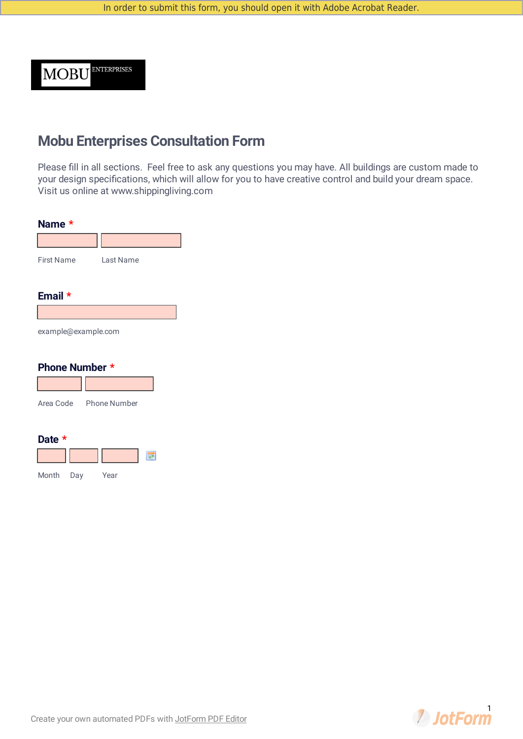MOBU<sup>ENTERPRISES</sup>

# **Mobu Enterprises Consultation Form**

Please fill in all sections. Feel free to ask any questions you may have. All buildings are custom made to your design specifications, which will allow for you to have creative control and build your dream space. Visit us online at www.shippingliving.com

| Name *                |                        |
|-----------------------|------------------------|
|                       |                        |
| <b>First Name</b>     | Last Name              |
|                       |                        |
| Email $*$             |                        |
|                       |                        |
| example@example.com   |                        |
| <b>Phone Number *</b> |                        |
|                       |                        |
|                       | Area Code Phone Number |
|                       |                        |
| Date *                |                        |
|                       | ₩                      |

Month Day Year

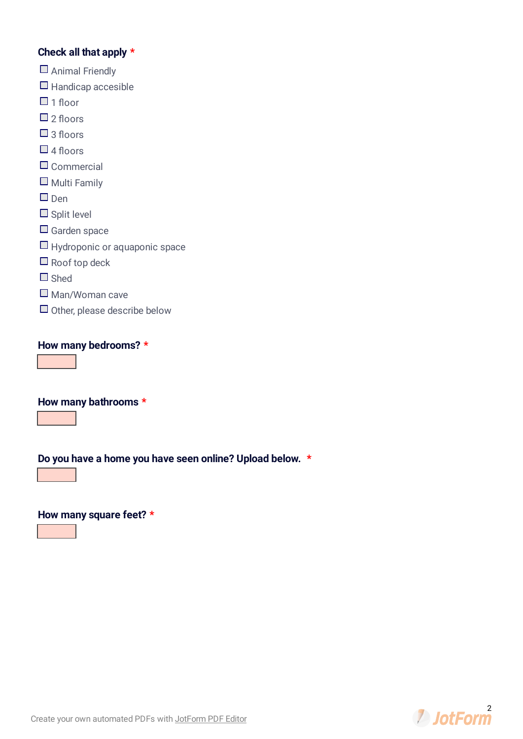#### **Check all that apply \***

- Animal Friendly
- $\Box$  Handicap accesible
- $\Box$  1 floor
- $\Box$  2 floors
- $\Box$  3 floors
- $\Box$  4 floors
- $\square$  Commercial
- $\Box$  Multi Family
- $\square$  Den
- $\Box$  Split level
- $\Box$  Garden space
- $\Box$  Hydroponic or aquaponic space
- $\Box$  Roof top deck
- □ Shed
- $\square$  Man/Woman cave
- $\Box$  Other, please describe below

**How many bedrooms? \***

**How many bathrooms \***

**Do you have a home you have seen online? Upload below. \***

**How many square feet? \***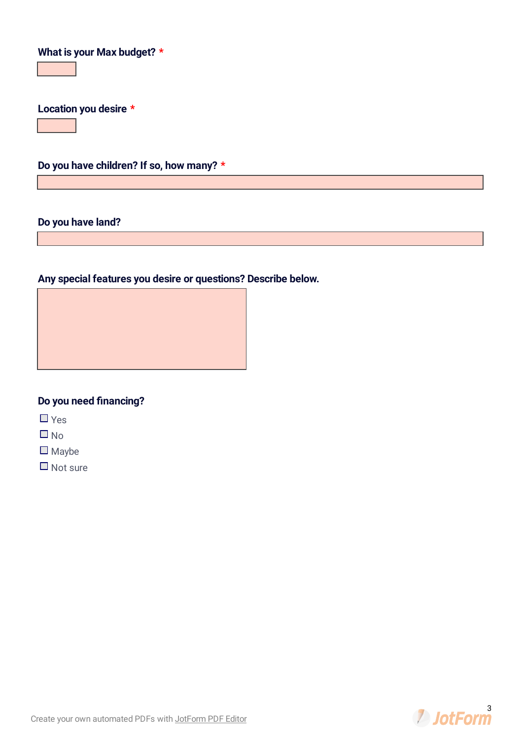## **What is your Max budget? \***

**Location you desire \***

**Do you have children? If so, how many? \***

#### **Do you have land?**

### **Any special features you desire or questions? Describe below.**



 $\Box$  Yes

 $\Box$  No

 $\Box$  Maybe

 $\Box$  Not sure